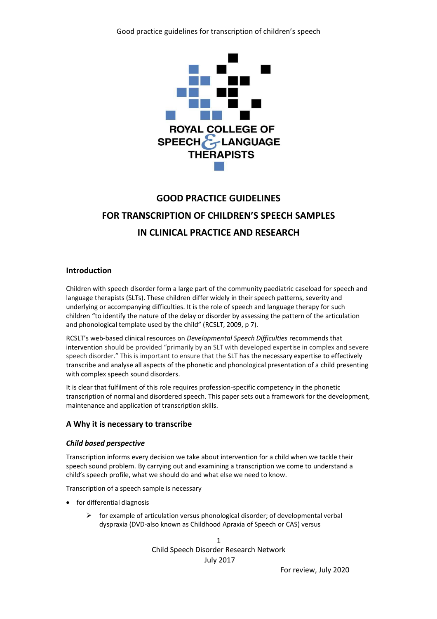

# **GOOD PRACTICE GUIDELINES FOR TRANSCRIPTION OF CHILDREN'S SPEECH SAMPLES IN CLINICAL PRACTICE AND RESEARCH**

## **Introduction**

Children with speech disorder form a large part of the community paediatric caseload for speech and language therapists (SLTs). These children differ widely in their speech patterns, severity and underlying or accompanying difficulties. It is the role of speech and language therapy for such children "to identify the nature of the delay or disorder by assessing the pattern of the articulation and phonological template used by the child" (RCSLT, 2009, p 7).

RCSLT's web-based clinical resources on *Developmental Speech Difficulties* recommends that intervention should be provided "primarily by an SLT with developed expertise in complex and severe speech disorder." This is important to ensure that the SLT has the necessary expertise to effectively transcribe and analyse all aspects of the phonetic and phonological presentation of a child presenting with complex speech sound disorders.

It is clear that fulfilment of this role requires profession-specific competency in the phonetic transcription of normal and disordered speech. This paper sets out a framework for the development, maintenance and application of transcription skills.

## **A Why it is necessary to transcribe**

## *Child based perspective*

Transcription informs every decision we take about intervention for a child when we tackle their speech sound problem. By carrying out and examining a transcription we come to understand a child's speech profile, what we should do and what else we need to know.

Transcription of a speech sample is necessary

- for differential diagnosis
	- $\triangleright$  for example of articulation versus phonological disorder; of developmental verbal dyspraxia (DVD-also known as Childhood Apraxia of Speech or CAS) versus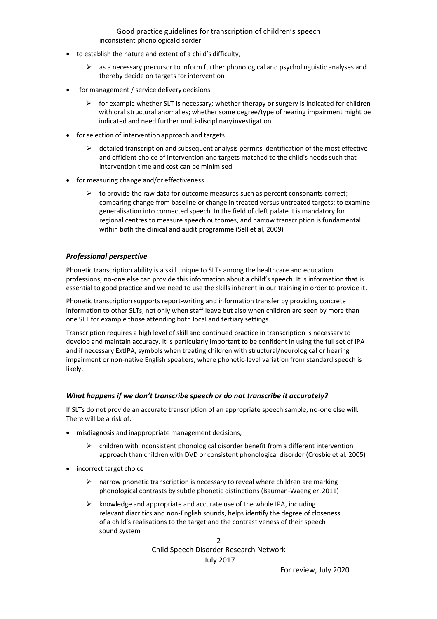Good practice guidelines for transcription of children's speech inconsistent phonologicaldisorder

- to establish the nature and extent of a child's difficulty,
	- $\triangleright$  as a necessary precursor to inform further phonological and psycholinguistic analyses and thereby decide on targets for intervention
- for management / service delivery decisions
	- $\triangleright$  for example whether SLT is necessary; whether therapy or surgery is indicated for children with oral structural anomalies; whether some degree/type of hearing impairment might be indicated and need further multi-disciplinaryinvestigation
- for selection of intervention approach and targets
	- $\triangleright$  detailed transcription and subsequent analysis permits identification of the most effective and efficient choice of intervention and targets matched to the child's needs such that intervention time and cost can be minimised
- for measuring change and/or effectiveness
	- $\triangleright$  to provide the raw data for outcome measures such as percent consonants correct; comparing change from baseline or change in treated versus untreated targets; to examine generalisation into connected speech. In the field of cleft palate it is mandatory for regional centres to measure speech outcomes, and narrow transcription is fundamental within both the clinical and audit programme (Sell et al, 2009)

## *Professional perspective*

Phonetic transcription ability is a skill unique to SLTs among the healthcare and education professions; no-one else can provide this information about a child's speech. It is information that is essential to good practice and we need to use the skills inherent in our training in order to provide it.

Phonetic transcription supports report-writing and information transfer by providing concrete information to other SLTs, not only when staff leave but also when children are seen by more than one SLT for example those attending both local and tertiary settings.

Transcription requires a high level of skill and continued practice in transcription is necessary to develop and maintain accuracy. It is particularly important to be confident in using the full set of IPA and if necessary ExtIPA, symbols when treating children with structural/neurological or hearing impairment or non-native English speakers, where phonetic-level variation from standard speech is likely.

## *What happens if we don't transcribe speech or do not transcribe it accurately?*

If SLTs do not provide an accurate transcription of an appropriate speech sample, no-one else will. There will be a risk of:

- misdiagnosis and inappropriate management decisions;
	- $\triangleright$  children with inconsistent phonological disorder benefit from a different intervention approach than children with DVD or consistent phonological disorder (Crosbie et al. 2005)
- incorrect target choice
	- $\triangleright$  narrow phonetic transcription is necessary to reveal where children are marking phonological contrasts by subtle phonetic distinctions (Bauman-Waengler,2011)
	- $\triangleright$  knowledge and appropriate and accurate use of the whole IPA, including relevant diacritics and non-English sounds, helps identify the degree of closeness of a child's realisations to the target and the contrastiveness of their speech sound system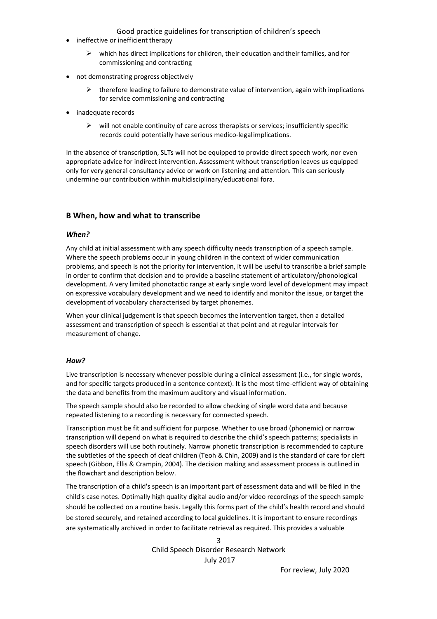Good practice guidelines for transcription of children's speech

- ineffective or inefficient therapy
	- $\triangleright$  which has direct implications for children, their education and their families, and for commissioning and contracting
- not demonstrating progress objectively
	- $\triangleright$  therefore leading to failure to demonstrate value of intervention, again with implications for service commissioning and contracting
- inadequate records
	- $\triangleright$  will not enable continuity of care across therapists or services; insufficiently specific records could potentially have serious medico-legalimplications.

In the absence of transcription, SLTs will not be equipped to provide direct speech work, nor even appropriate advice for indirect intervention. Assessment without transcription leaves us equipped only for very general consultancy advice or work on listening and attention. This can seriously undermine our contribution within multidisciplinary/educational fora.

# **B When, how and what to transcribe**

## *When?*

Any child at initial assessment with any speech difficulty needs transcription of a speech sample. Where the speech problems occur in young children in the context of wider communication problems, and speech is not the priority for intervention, it will be useful to transcribe a brief sample in order to confirm that decision and to provide a baseline statement of articulatory/phonological development. A very limited phonotactic range at early single word level of development may impact on expressive vocabulary development and we need to identify and monitor the issue, or target the development of vocabulary characterised by target phonemes.

When your clinical judgement is that speech becomes the intervention target, then a detailed assessment and transcription of speech is essential at that point and at regular intervals for measurement of change.

## *How?*

Live transcription is necessary whenever possible during a clinical assessment (i.e., for single words, and for specific targets produced in a sentence context). It is the most time-efficient way of obtaining the data and benefits from the maximum auditory and visual information.

The speech sample should also be recorded to allow checking of single word data and because repeated listening to a recording is necessary for connected speech.

Transcription must be fit and sufficient for purpose. Whether to use broad (phonemic) or narrow transcription will depend on what is required to describe the child's speech patterns; specialists in speech disorders will use both routinely. Narrow phonetic transcription is recommended to capture the subtleties of the speech of deaf children (Teoh & Chin, 2009) and is the standard of care for cleft speech (Gibbon, Ellis & Crampin, 2004). The decision making and assessment process is outlined in the flowchart and description below.

The transcription of a child's speech is an important part of assessment data and will be filed in the child's case notes. Optimally high quality digital audio and/or video recordings of the speech sample should be collected on a routine basis. Legally this forms part of the child's health record and should be stored securely, and retained according to local guidelines. It is important to ensure recordings are systematically archived in order to facilitate retrieval as required. This provides a valuable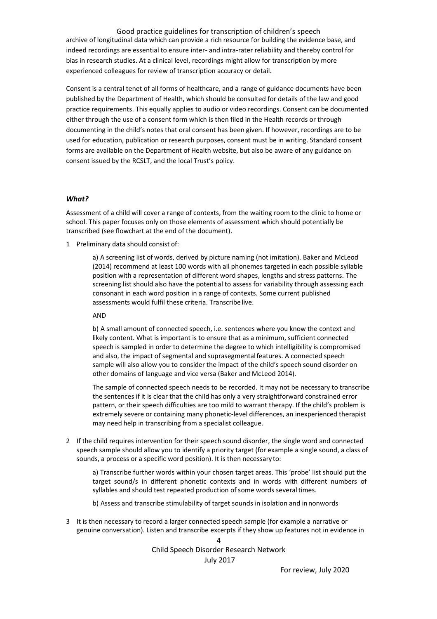Good practice guidelines for transcription of children's speech archive of longitudinal data which can provide a rich resource for building the evidence base, and indeed recordings are essential to ensure inter- and intra-rater reliability and thereby control for bias in research studies. At a clinical level, recordings might allow for transcription by more experienced colleagues for review of transcription accuracy or detail.

Consent is a central tenet of all forms of healthcare, and a range of guidance documents have been published by the Department of Health, which should be consulted for details of the law and good practice requirements. This equally applies to audio or video recordings. Consent can be documented either through the use of a consent form which is then filed in the Health records or through documenting in the child's notes that oral consent has been given. If however, recordings are to be used for education, publication or research purposes, consent must be in writing. Standard consent forms are available on the Department of Health website, but also be aware of any guidance on consent issued by the RCSLT, and the local Trust's policy.

#### *What?*

Assessment of a child will cover a range of contexts, from the waiting room to the clinic to home or school. This paper focuses only on those elements of assessment which should potentially be transcribed (see flowchart at the end of the document).

1 Preliminary data should consist of:

a) A screening list of words, derived by picture naming (not imitation). Baker and McLeod (2014) recommend at least 100 words with all phonemes targeted in each possible syllable position with a representation of different word shapes, lengths and stress patterns. The screening list should also have the potential to assess for variability through assessing each consonant in each word position in a range of contexts. Some current published assessments would fulfil these criteria. Transcribe live.

#### AND

b) A small amount of connected speech, i.e. sentences where you know the context and likely content. What is important is to ensure that as a minimum, sufficient connected speech is sampled in order to determine the degree to which intelligibility is compromised and also, the impact of segmental and suprasegmentalfeatures. A connected speech sample will also allow you to consider the impact of the child's speech sound disorder on other domains of language and vice versa (Baker and McLeod 2014).

The sample of connected speech needs to be recorded. It may not be necessary to transcribe the sentences if it is clear that the child has only a very straightforward constrained error pattern, or their speech difficulties are too mild to warrant therapy. If the child's problem is extremely severe or containing many phonetic-level differences, an inexperienced therapist may need help in transcribing from a specialist colleague.

2 If the child requires intervention for their speech sound disorder, the single word and connected speech sample should allow you to identify a priority target (for example a single sound, a class of sounds, a process or a specific word position). It is then necessary to:

a) Transcribe further words within your chosen target areas. This 'probe' list should put the target sound/s in different phonetic contexts and in words with different numbers of syllables and should test repeated production of some words several times.

b) Assess and transcribe stimulability of target sounds in isolation and innonwords

3 It is then necessary to record a larger connected speech sample (for example a narrative or genuine conversation). Listen and transcribe excerpts if they show up features not in evidence in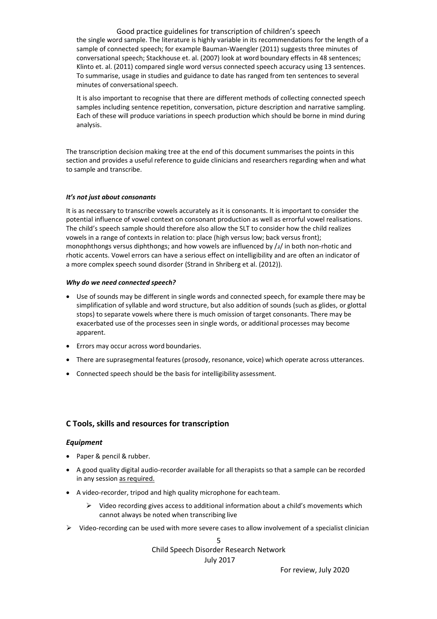Good practice guidelines for transcription of children's speech the single word sample. The literature is highly variable in its recommendations for the length of a sample of connected speech; for example Bauman-Waengler (2011) suggests three minutes of conversational speech; Stackhouse et. al. (2007) look at word boundary effects in 48 sentences; Klinto et. al. (2011) compared single word versus connected speech accuracy using 13 sentences. To summarise, usage in studies and guidance to date has ranged from ten sentences to several minutes of conversational speech.

It is also important to recognise that there are different methods of collecting connected speech samples including sentence repetition, conversation, picture description and narrative sampling. Each of these will produce variations in speech production which should be borne in mind during analysis.

The transcription decision making tree at the end of this document summarises the points in this section and provides a useful reference to guide clinicians and researchers regarding when and what to sample and transcribe.

#### *It's not just about consonants*

It is as necessary to transcribe vowels accurately as it is consonants. It is important to consider the potential influence of vowel context on consonant production as well as errorful vowel realisations. The child's speech sample should therefore also allow the SLT to consider how the child realizes vowels in a range of contexts in relation to: place (high versus low; back versus front); monophthongs versus diphthongs; and how vowels are influenced by  $\lambda$  in both non-rhotic and rhotic accents. Vowel errors can have a serious effect on intelligibility and are often an indicator of a more complex speech sound disorder (Strand in Shriberg et al. (2012)).

#### *Why do we need connected speech?*

- Use of sounds may be different in single words and connected speech, for example there may be simplification of syllable and word structure, but also addition of sounds (such as glides, or glottal stops) to separate vowels where there is much omission of target consonants. There may be exacerbated use of the processes seen in single words, or additional processes may become apparent.
- Errors may occur across word boundaries.
- There are suprasegmental features (prosody, resonance, voice) which operate across utterances.
- Connected speech should be the basis for intelligibility assessment.

## **C Tools, skills and resources for transcription**

#### *Equipment*

- Paper & pencil & rubber.
- A good quality digital audio-recorder available for all therapists so that a sample can be recorded in any session as required.
- A video-recorder, tripod and high quality microphone for eachteam.
	- $\triangleright$  Video recording gives access to additional information about a child's movements which cannot always be noted when transcribing live
- $\triangleright$  Video-recording can be used with more severe cases to allow involvement of a specialist clinician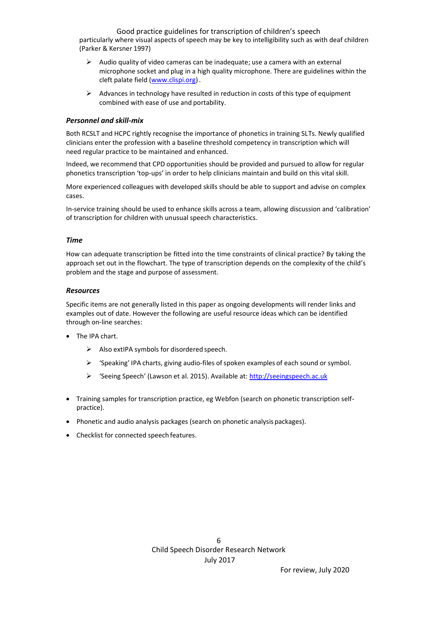Good practice guidelines for transcription of children's speech particularly where visual aspects of speech may be key to intelligibility such as with deaf children (Parker & Kersner 1997)

- $\triangleright$  Audio quality of video cameras can be inadequate; use a camera with an external microphone socket and plug in a high quality microphone. There are guidelines within the cleft palate field (www.clispi.org).
- ➢ Advances in technology have resulted in reduction in costs of this type of equipment combined with ease of use and portability.

## *Personnel and skill-mix*

Both RCSLT and HCPC rightly recognise the importance of phonetics in training SLTs. Newly qualified clinicians enter the profession with a baseline threshold competency in transcription which will need regular practice to be maintained and enhanced.

Indeed, we recommend that CPD opportunities should be provided and pursued to allow for regular phonetics transcription 'top-ups' in order to help clinicians maintain and build on this vital skill.

More experienced colleagues with developed skills should be able to support and advise on complex cases.

In-service training should be used to enhance skills across a team, allowing discussion and 'calibration' of transcription for children with unusual speech characteristics.

#### *Time*

How can adequate transcription be fitted into the time constraints of clinical practice? By taking the approach set out in the flowchart. The type of transcription depends on the complexity of the child's problem and the stage and purpose of assessment.

### *Resources*

Specific items are not generally listed in this paper as ongoing developments will render links and examples out of date. However the following are useful resource ideas which can be identified through on-line searches:

- The IPA chart.
	- ➢ Also extIPA symbols for disordered speech.
	- $\triangleright$  'Speaking' IPA charts, giving audio-files of spoken examples of each sound or symbol.
	- ➢ 'Seeing Speech' (Lawson et al. 2015). Available at[: http://seeingspeech.ac.uk](http://seeingspeech.ac.uk/)
- Training samples for transcription practice, eg Webfon (search on phonetic transcription selfpractice).
- Phonetic and audio analysis packages (search on phonetic analysis packages).
- Checklist for connected speech features.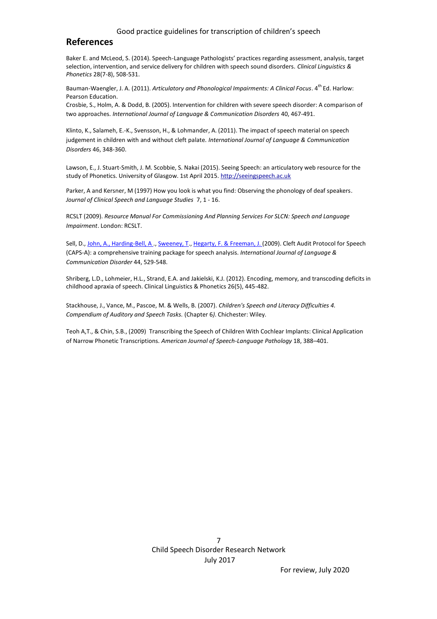#### Good practice guidelines for transcription of children's speech

# **References**

Baker E. and McLeod, S. (2014). Speech-Language Pathologists' practices regarding assessment, analysis, target selection, intervention, and service delivery for children with speech sound disorders. *Clinical Linguistics & Phonetics* 28(7-8), 508-531.

Bauman-Waengler, J. A. (2011). *Articulatory and Phonological Impairments: A Clinical Focus*. 4<sup>th</sup> Ed. Harlow: Pearson Education.

Crosbie, S., Holm, A. & Dodd, B. (2005). Intervention for children with severe speech disorder: A comparison of two approaches*. International Journal of Language & Communication Disorders* 40, 467-491.

Klinto, K., Salameh, E.-K., Svensson, H., & Lohmander, A. (2011). The impact of speech material on speech judgement in children with and without cleft palate*. International Journal of Language & Communication Disorders* 46, 348-360.

Lawson, E., J. Stuart-Smith, J. M. Scobbie, S. Nakai (2015). Seeing Speech: an articulatory web resource for the study of Phonetics. University of Glasgow. 1st April 2015. [http://seeingspeech.ac.uk](http://seeingspeech.ac.uk/)

Parker, A and Kersner, M (1997) How you look is what you find: Observing the phonology of deaf speakers*. Journal of Clinical Speech and Language Studies* 7, 1 - 16.

RCSLT (2009). *Resource Manual For Commissioning And Planning Services For SLCN: Speech and Language Impairment*. London: RCSLT.

Sell, D., John, A., Harding-Bell, A., Sweeney, T., Hegarty, F. & Freeman, J. (2009). Cleft Audit Protocol for Speech (CAPS-A): a comprehensive training package for speech analysis. *International Journal of Language & Communication Disorder* 44, 529-548.

Shriberg, L.D., Lohmeier, H.L., Strand, E.A. and Jakielski, K.J. (2012). Encoding, memory, and transcoding deficits in childhood apraxia of speech. Clinical Linguistics & Phonetics 26(5), 445-482.

Stackhouse, J., Vance, M., Pascoe, M. & Wells, B. (2007). *Children's Speech and Literacy Difficulties 4. Compendium of Auditory and Speech Tasks.* (Chapter 6*)*. Chichester: Wiley.

Teoh A,T., & Chin, S.B., (2009) Transcribing the Speech of Children With Cochlear Implants: Clinical Application of Narrow Phonetic Transcriptions. *American Journal of Speech-Language Pathology* 18, 388–401.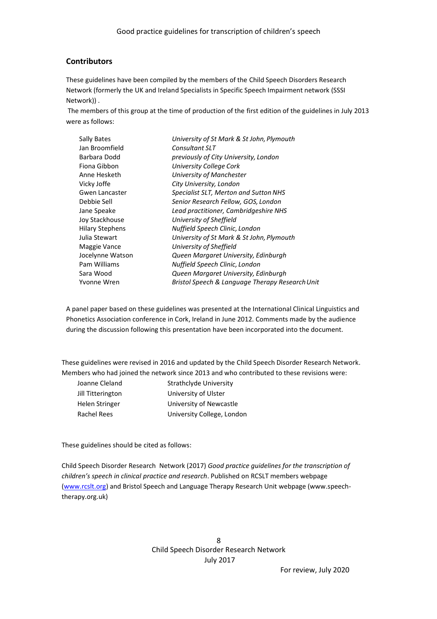# **Contributors**

These guidelines have been compiled by the members of the Child Speech Disorders Research Network (formerly the UK and Ireland Specialists in Specific Speech Impairment network (SSSI Network)) .

The members of this group at the time of production of the first edition of the guidelines in July 2013 were as follows:

| Sally Bates            | University of St Mark & St John, Plymouth       |
|------------------------|-------------------------------------------------|
| Jan Broomfield         | Consultant SLT                                  |
| Barbara Dodd           | previously of City University, London           |
| Fiona Gibbon           | University College Cork                         |
| Anne Hesketh           | University of Manchester                        |
| Vicky Joffe            | City University, London                         |
| Gwen Lancaster         | Specialist SLT, Merton and Sutton NHS           |
| Debbie Sell            | Senior Research Fellow, GOS, London             |
| Jane Speake            | Lead practitioner, Cambridgeshire NHS           |
| Joy Stackhouse         | University of Sheffield                         |
| <b>Hilary Stephens</b> | Nuffield Speech Clinic, London                  |
| Julia Stewart          | University of St Mark & St John, Plymouth       |
| Maggie Vance           | University of Sheffield                         |
| Jocelynne Watson       | Queen Margaret University, Edinburgh            |
| Pam Williams           | Nuffield Speech Clinic, London                  |
| Sara Wood              | Queen Margaret University, Edinburgh            |
| Yvonne Wren            | Bristol Speech & Language Therapy Research Unit |

A panel paper based on these guidelines was presented at the International Clinical Linguistics and Phonetics Association conference in Cork, Ireland in June 2012. Comments made by the audience during the discussion following this presentation have been incorporated into the document.

These guidelines were revised in 2016 and updated by the Child Speech Disorder Research Network. Members who had joined the network since 2013 and who contributed to these revisions were:

Joanne Cleland Strathclyde University Jill Titterington University of Ulster Helen Stringer University of Newcastle Rachel Rees University College, London

These guidelines should be cited as follows:

Child Speech Disorder Research Network (2017) *Good practice guidelines for the transcription of children's speech in clinical practice and research*. Published on RCSLT members webpage [\(www.rcslt.org\)](http://www.rcslt.org/) and Bristol Speech and Language Therapy Research Unit webpage (www.speechtherapy.org.uk)